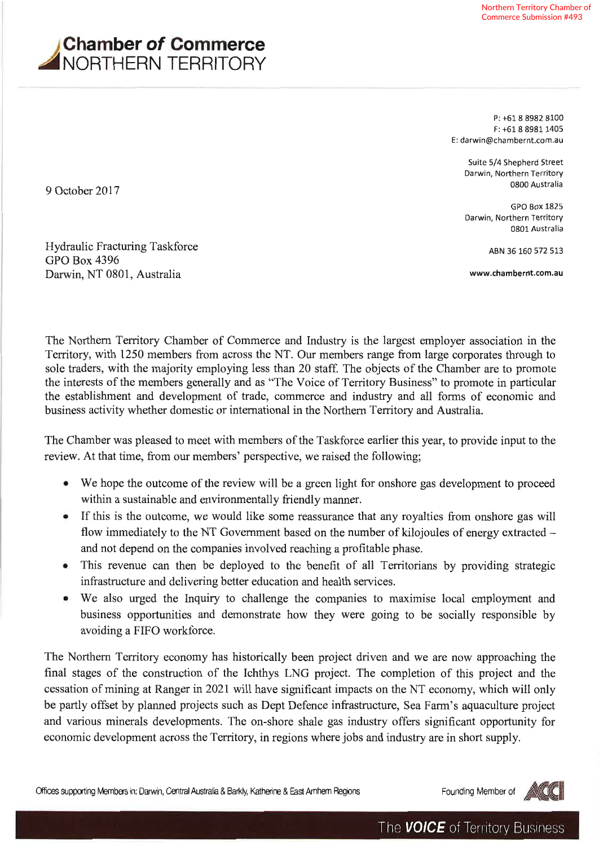

P: +61 8 8982 8100  $F: +61889811405$ E: darwin@chambernt.com.au

Suite 5/4 Shepherd Street Darwin, Northern Territory 0800 Australia

**GPO Box 1825** Darwin, Northern Territory 0801 Australia

ABN 36 160 572 513

www.chambernt.com.au

Hydraulic Fracturing Taskforce **GPO Box 4396** 

Darwin, NT 0801, Australia

9 October 2017

The Northern Territory Chamber of Commerce and Industry is the largest employer association in the Territory, with 1250 members from across the NT. Our members range from large corporates through to sole traders, with the majority employing less than 20 staff. The objects of the Chamber are to promote the interests of the members generally and as "The Voice of Territory Business" to promote in particular the establishment and development of trade, commerce and industry and all forms of economic and business activity whether domestic or international in the Northern Territory and Australia.

The Chamber was pleased to meet with members of the Taskforce earlier this year, to provide input to the review. At that time, from our members' perspective, we raised the following;

- We hope the outcome of the review will be a green light for onshore gas development to proceed within a sustainable and environmentally friendly manner.
- If this is the outcome, we would like some reassurance that any royalties from onshore gas will flow immediately to the NT Government based on the number of kilojoules of energy extracted – and not depend on the companies involved reaching a profitable phase.
- This revenue can then be deployed to the benefit of all Territorians by providing strategic infrastructure and delivering better education and health services.
- We also urged the Inquiry to challenge the companies to maximise local employment and business opportunities and demonstrate how they were going to be socially responsible by avoiding a FIFO workforce.

The Northern Territory economy has historically been project driven and we are now approaching the final stages of the construction of the Ichthys LNG project. The completion of this project and the cessation of mining at Ranger in 2021 will have significant impacts on the NT economy, which will only be partly offset by planned projects such as Dept Defence infrastructure, Sea Farm's aquaculture project and various minerals developments. The on-shore shale gas industry offers significant opportunity for economic development across the Territory, in regions where jobs and industry are in short supply.

Offices supporting Members in: Darwin, Central Australia & Barkly, Katherine & East Amhem Regions

Founding Member of

**ENCIC**